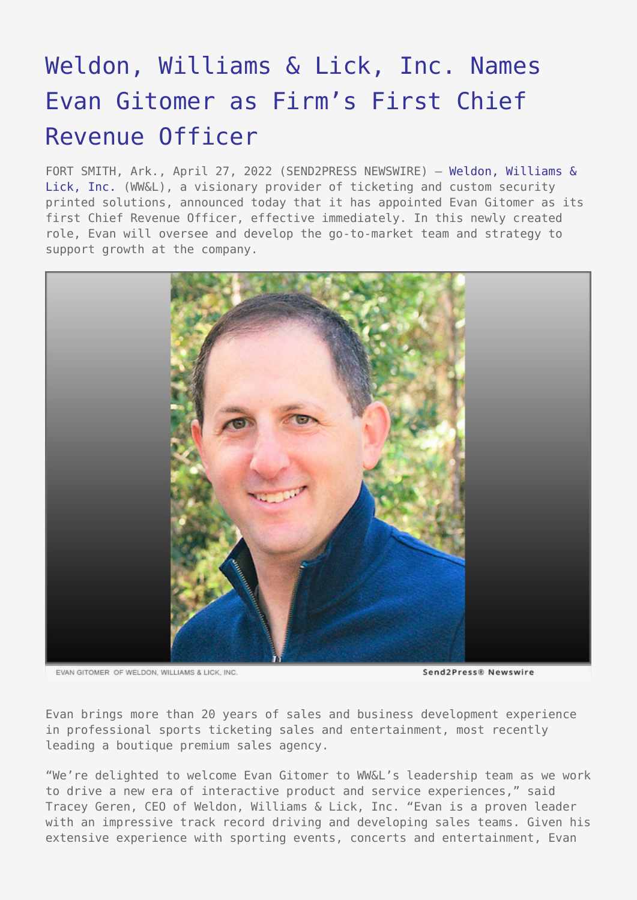## [Weldon, Williams & Lick, Inc. Names](https://www.send2press.com/wire/weldon-williams-lick-inc-names-evan-gitomer-as-firms-first-chief-revenue-officer/) [Evan Gitomer as Firm's First Chief](https://www.send2press.com/wire/weldon-williams-lick-inc-names-evan-gitomer-as-firms-first-chief-revenue-officer/) [Revenue Officer](https://www.send2press.com/wire/weldon-williams-lick-inc-names-evan-gitomer-as-firms-first-chief-revenue-officer/)

FORT SMITH, Ark., April 27, 2022 (SEND2PRESS NEWSWIRE) — [Weldon, Williams &](https://wwlinc.com/) [Lick, Inc.](https://wwlinc.com/) (WW&L), a visionary provider of ticketing and custom security printed solutions, announced today that it has appointed Evan Gitomer as its first Chief Revenue Officer, effective immediately. In this newly created role, Evan will oversee and develop the go-to-market team and strategy to support growth at the company.



EVAN GITOMER OF WELDON: WILLIAMS & LICK. INC.

Send2Press® Newswire

Evan brings more than 20 years of sales and business development experience in professional sports ticketing sales and entertainment, most recently leading a boutique premium sales agency.

"We're delighted to welcome Evan Gitomer to WW&L's leadership team as we work to drive a new era of interactive product and service experiences," said Tracey Geren, CEO of Weldon, Williams & Lick, Inc. "Evan is a proven leader with an impressive track record driving and developing sales teams. Given his extensive experience with sporting events, concerts and entertainment, Evan